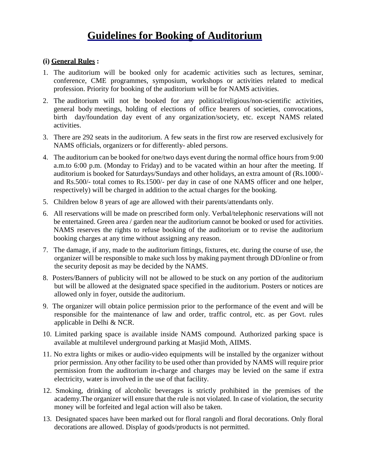# **Guidelines for Booking of Auditorium**

## **(i) General Rules :**

- 1. The auditorium will be booked only for academic activities such as lectures, seminar, conference, CME programmes, symposium, workshops or activities related to medical profession. Priority for booking of the auditorium will be for NAMS activities.
- 2. The auditorium will not be booked for any political/religious/non-scientific activities, general body meetings, holding of elections of office bearers of societies, convocations, birth day/foundation day event of any organization/society, etc. except NAMS related activities.
- 3. There are 292 seats in the auditorium. A few seats in the first row are reserved exclusively for NAMS officials, organizers or for differently- abled persons.
- 4. The auditorium can be booked for one/two days event during the normal office hours from 9:00 a.m.to 6:00 p.m. (Monday to Friday) and to be vacated within an hour after the meeting. If auditorium is booked for Saturdays/Sundays and other holidays, an extra amount of (Rs.1000/ and Rs.500/- total comes to Rs.1500/- per day in case of one NAMS officer and one helper, respectively) will be charged in addition to the actual charges for the booking.
- 5. Children below 8 years of age are allowed with their parents/attendants only.
- 6. All reservations will be made on prescribed form only. Verbal/telephonic reservations will not be entertained. Green area / garden near the auditorium cannot be booked or used for activities. NAMS reserves the rights to refuse booking of the auditorium or to revise the auditorium booking charges at any time without assigning any reason.
- 7. The damage, if any, made to the auditorium fittings, fixtures, etc. during the course of use, the organizer will be responsible to make such loss by making payment through DD/online or from the security deposit as may be decided by the NAMS.
- 8. Posters/Banners of publicity will not be allowed to be stuck on any portion of the auditorium but will be allowed at the designated space specified in the auditorium. Posters or notices are allowed only in foyer, outside the auditorium.
- 9. The organizer will obtain police permission prior to the performance of the event and will be responsible for the maintenance of law and order, traffic control, etc. as per Govt. rules applicable in Delhi & NCR.
- 10. Limited parking space is available inside NAMS compound. Authorized parking space is available at multilevel underground parking at Masjid Moth, AIIMS.
- 11. No extra lights or mikes or audio-video equipments will be installed by the organizer without prior permission. Any other facility to be used other than provided by NAMS will require prior permission from the auditorium in-charge and charges may be levied on the same if extra electricity, water is involved in the use of that facility.
- 12. Smoking, drinking of alcoholic beverages is strictly prohibited in the premises of the academy.The organizer will ensure that the rule is not violated. In case of violation, the security money will be forfeited and legal action will also be taken.
- 13. Designated spaces have been marked out for floral rangoli and floral decorations. Only floral decorations are allowed. Display of goods/products is not permitted.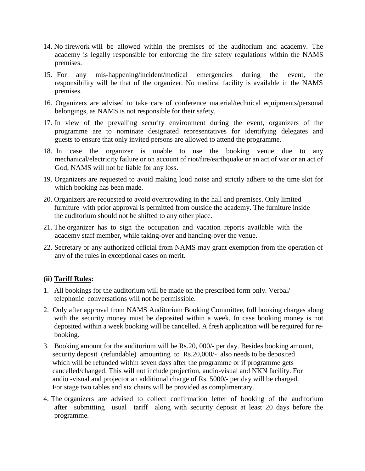- 14. No firework will be allowed within the premises of the auditorium and academy. The academy is legally responsible for enforcing the fire safety regulations within the NAMS premises.
- 15. For any mis-happening/incident/medical emergencies during the event, the responsibility will be that of the organizer. No medical facility is available in the NAMS premises.
- 16. Organizers are advised to take care of conference material/technical equipments/personal belongings, as NAMS is not responsible for their safety.
- 17. In view of the prevailing security environment during the event, organizers of the programme are to nominate designated representatives for identifying delegates and guests to ensure that only invited persons are allowed to attend the programme.
- 18. In case the organizer is unable to use the booking venue due to any mechanical/electricity failure or on account of riot/fire/earthquake or an act of war or an act of God, NAMS will not be liable for any loss.
- 19. Organizers are requested to avoid making loud noise and strictly adhere to the time slot for which booking has been made.
- 20. Organizers are requested to avoid overcrowding in the hall and premises. Only limited furniture with prior approval is permitted from outside the academy. The furniture inside the auditorium should not be shifted to any other place.
- 21. The organizer has to sign the occupation and vacation reports available with the academy staff member, while taking-over and handing-over the venue.
- 22. Secretary or any authorized official from NAMS may grant exemption from the operation of any of the rules in exceptional cases on merit.

## **(ii) Tariff Rules:**

- 1. All bookings for the auditorium will be made on the prescribed form only. Verbal/ telephonic conversations will not be permissible.
- 2. Only after approval from NAMS Auditorium Booking Committee, full booking charges along with the security money must be deposited within a week. In case booking money is not deposited within a week booking will be cancelled. A fresh application will be required for rebooking.
- 3. Booking amount for the auditorium will be Rs.20, 000/- per day. Besides booking amount, security deposit (refundable) amounting to Rs.20,000/- also needs to be deposited which will be refunded within seven days after the programme or if programme gets cancelled/changed. This will not include projection, audio-visual and NKN facility. For audio -visual and projector an additional charge of Rs. 5000/- per day will be charged. For stage two tables and six chairs will be provided as complimentary.
- 4. The organizers are advised to collect confirmation letter of booking of the auditorium after submitting usual tariff along with security deposit at least 20 days before the programme.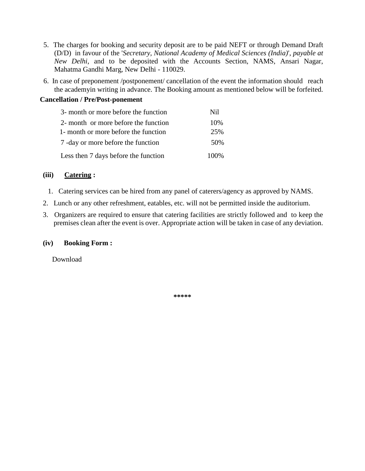- 5. The charges for booking and security deposit are to be paid NEFT or through Demand Draft (D/D) in favour of the '*Secretary, National Academy of Medical Sciences (India)*', *payable at New Delhi*, and to be deposited with the Accounts Section, NAMS, Ansari Nagar, Mahatma Gandhi Marg, New Delhi - 110029.
- 6. In case of preponement /postponement/ cancellation of the event the information should reach the academyin writing in advance. The Booking amount as mentioned below will be forfeited.

#### **Cancellation / Pre/Post-ponement**

| 3- month or more before the function | Nil  |
|--------------------------------------|------|
| 2- month or more before the function | 10%  |
| 1- month or more before the function | 25%  |
| 7 -day or more before the function   | 50%  |
| Less then 7 days before the function | 100% |

#### **(iii) Catering :**

- 1. Catering services can be hired from any panel of caterers/agency as approved by NAMS.
- 2. Lunch or any other refreshment, eatables, etc. will not be permitted inside the auditorium.
- 3. Organizers are required to ensure that catering facilities are strictly followed and to keep the premises clean after the event is over. Appropriate action will be taken in case of any deviation.

#### **(iv) Booking Form :**

Download

**\*\*\*\*\***